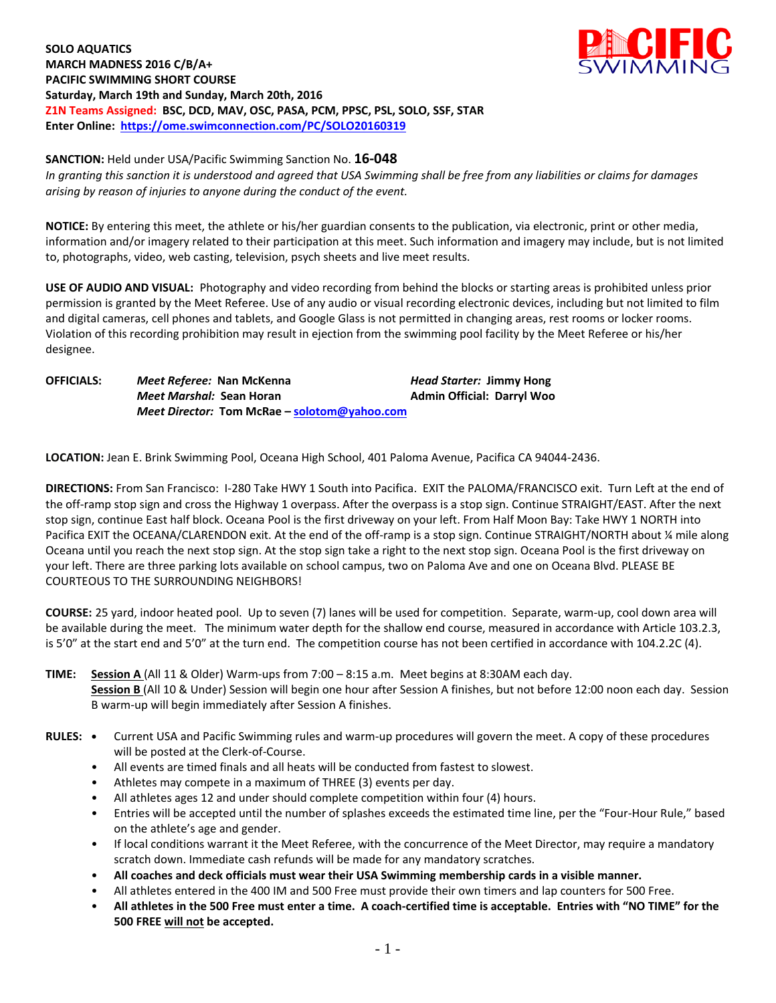## **SOLO AQUATICS MARCH MADNESS 2016 C/B/A+ PACIFIC SWIMMING SHORT COURSE Saturday, March 19th and Sunday, March 20th, 2016 Z1N Teams Assigned: BSC, DCD, MAV, OSC, PASA, PCM, PPSC, PSL, SOLO, SSF, STAR Enter Online:<https://ome.swimconnection.com/PC/SOLO20160319>**



#### **SANCTION:** Held under USA/Pacific Swimming Sanction No. **16-048**

*In granting this sanction it is understood and agreed that USA Swimming shall be free from any liabilities or claims for damages arising by reason of injuries to anyone during the conduct of the event.*

**NOTICE:** By entering this meet, the athlete or his/her guardian consents to the publication, via electronic, print or other media, information and/or imagery related to their participation at this meet. Such information and imagery may include, but is not limited to, photographs, video, web casting, television, psych sheets and live meet results.

**USE OF AUDIO AND VISUAL:** Photography and video recording from behind the blocks or starting areas is prohibited unless prior permission is granted by the Meet Referee. Use of any audio or visual recording electronic devices, including but not limited to film and digital cameras, cell phones and tablets, and Google Glass is not permitted in changing areas, rest rooms or locker rooms. Violation of this recording prohibition may result in ejection from the swimming pool facility by the Meet Referee or his/her designee.

**OFFICIALS:** *Meet Referee:* **Nan McKenna** *Head Starter:* **Jimmy Hong** *Meet Marshal:* **Sean Horan Admin Official: Darryl Woo** *Meet Director:* **Tom McRae – [solotom@yahoo.com](mailto:solotom@yahoo.com)**

**LOCATION:** Jean E. Brink Swimming Pool, Oceana High School, 401 Paloma Avenue, Pacifica CA 94044-2436.

**DIRECTIONS:** From San Francisco: I-280 Take HWY 1 South into Pacifica. EXIT the PALOMA/FRANCISCO exit. Turn Left at the end of the off-ramp stop sign and cross the Highway 1 overpass. After the overpass is a stop sign. Continue STRAIGHT/EAST. After the next stop sign, continue East half block. Oceana Pool is the first driveway on your left. From Half Moon Bay: Take HWY 1 NORTH into Pacifica EXIT the OCEANA/CLARENDON exit. At the end of the off-ramp is a stop sign. Continue STRAIGHT/NORTH about ¼ mile along Oceana until you reach the next stop sign. At the stop sign take a right to the next stop sign. Oceana Pool is the first driveway on your left. There are three parking lots available on school campus, two on Paloma Ave and one on Oceana Blvd. PLEASE BE COURTEOUS TO THE SURROUNDING NEIGHBORS!

**COURSE:** 25 yard, indoor heated pool. Up to seven (7) lanes will be used for competition. Separate, warm-up, cool down area will be available during the meet. The minimum water depth for the shallow end course, measured in accordance with Article 103.2.3, is 5'0" at the start end and 5'0" at the turn end. The competition course has not been certified in accordance with 104.2.2C (4).

- **TIME: Session A** (All 11 & Older) Warm-ups from 7:00 8:15 a.m. Meet begins at 8:30AM each day. **Session B** (All 10 & Under) Session will begin one hour after Session A finishes, but not before 12:00 noon each day. Session B warm-up will begin immediately after Session A finishes.
- **RULES: •** Current USA and Pacific Swimming rules and warm-up procedures will govern the meet. A copy of these procedures will be posted at the Clerk-of-Course.
	- All events are timed finals and all heats will be conducted from fastest to slowest.
	- Athletes may compete in a maximum of THREE (3) events per day.
	- All athletes ages 12 and under should complete competition within four (4) hours.
	- Entries will be accepted until the number of splashes exceeds the estimated time line, per the "Four-Hour Rule," based on the athlete's age and gender.
	- If local conditions warrant it the Meet Referee, with the concurrence of the Meet Director, may require a mandatory scratch down. Immediate cash refunds will be made for any mandatory scratches.
	- **All coaches and deck officials must wear their USA Swimming membership cards in a visible manner.** 
		- All athletes entered in the 400 IM and 500 Free must provide their own timers and lap counters for 500 Free.
	- **All athletes in the 500 Free must enter a time. A coach-certified time is acceptable. Entries with "NO TIME" for the 500 FREE will not be accepted.**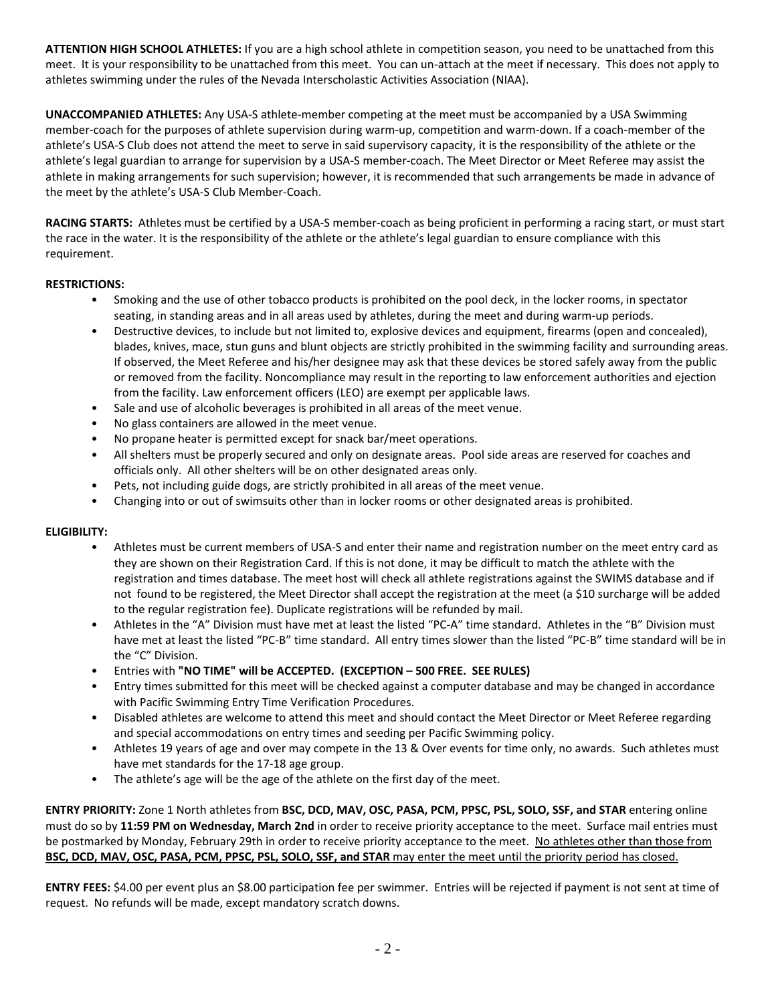**ATTENTION HIGH SCHOOL ATHLETES:** If you are a high school athlete in competition season, you need to be unattached from this meet. It is your responsibility to be unattached from this meet. You can un-attach at the meet if necessary. This does not apply to athletes swimming under the rules of the Nevada Interscholastic Activities Association (NIAA).

**UNACCOMPANIED ATHLETES:** Any USA-S athlete-member competing at the meet must be accompanied by a USA Swimming member-coach for the purposes of athlete supervision during warm-up, competition and warm-down. If a coach-member of the athlete's USA-S Club does not attend the meet to serve in said supervisory capacity, it is the responsibility of the athlete or the athlete's legal guardian to arrange for supervision by a USA-S member-coach. The Meet Director or Meet Referee may assist the athlete in making arrangements for such supervision; however, it is recommended that such arrangements be made in advance of the meet by the athlete's USA-S Club Member-Coach.

**RACING STARTS:** Athletes must be certified by a USA-S member-coach as being proficient in performing a racing start, or must start the race in the water. It is the responsibility of the athlete or the athlete's legal guardian to ensure compliance with this requirement.

## **RESTRICTIONS:**

- Smoking and the use of other tobacco products is prohibited on the pool deck, in the locker rooms, in spectator seating, in standing areas and in all areas used by athletes, during the meet and during warm-up periods.
- Destructive devices, to include but not limited to, explosive devices and equipment, firearms (open and concealed), blades, knives, mace, stun guns and blunt objects are strictly prohibited in the swimming facility and surrounding areas. If observed, the Meet Referee and his/her designee may ask that these devices be stored safely away from the public or removed from the facility. Noncompliance may result in the reporting to law enforcement authorities and ejection from the facility. Law enforcement officers (LEO) are exempt per applicable laws.
- Sale and use of alcoholic beverages is prohibited in all areas of the meet venue.
- No glass containers are allowed in the meet venue.
- No propane heater is permitted except for snack bar/meet operations.
- All shelters must be properly secured and only on designate areas. Pool side areas are reserved for coaches and officials only. All other shelters will be on other designated areas only.
- Pets, not including guide dogs, are strictly prohibited in all areas of the meet venue.
- Changing into or out of swimsuits other than in locker rooms or other designated areas is prohibited.

## **ELIGIBILITY:**

- Athletes must be current members of USA-S and enter their name and registration number on the meet entry card as they are shown on their Registration Card. If this is not done, it may be difficult to match the athlete with the registration and times database. The meet host will check all athlete registrations against the SWIMS database and if not found to be registered, the Meet Director shall accept the registration at the meet (a \$10 surcharge will be added to the regular registration fee). Duplicate registrations will be refunded by mail.
- Athletes in the "A" Division must have met at least the listed "PC-A" time standard. Athletes in the "B" Division must have met at least the listed "PC-B" time standard. All entry times slower than the listed "PC-B" time standard will be in the "C" Division.
- Entries with **"NO TIME" will be ACCEPTED. (EXCEPTION – 500 FREE. SEE RULES)**
- Entry times submitted for this meet will be checked against a computer database and may be changed in accordance with Pacific Swimming Entry Time Verification Procedures.
- Disabled athletes are welcome to attend this meet and should contact the Meet Director or Meet Referee regarding and special accommodations on entry times and seeding per Pacific Swimming policy.
- Athletes 19 years of age and over may compete in the 13 & Over events for time only, no awards. Such athletes must have met standards for the 17-18 age group.
- The athlete's age will be the age of the athlete on the first day of the meet.

**ENTRY PRIORITY:** Zone 1 North athletes from **BSC, DCD, MAV, OSC, PASA, PCM, PPSC, PSL, SOLO, SSF, and STAR** entering online must do so by **11:59 PM on Wednesday, March 2nd** in order to receive priority acceptance to the meet. Surface mail entries must be postmarked by Monday, February 29th in order to receive priority acceptance to the meet. No athletes other than those from **BSC, DCD, MAV, OSC, PASA, PCM, PPSC, PSL, SOLO, SSF, and STAR** may enter the meet until the priority period has closed.

**ENTRY FEES:** \$4.00 per event plus an \$8.00 participation fee per swimmer. Entries will be rejected if payment is not sent at time of request. No refunds will be made, except mandatory scratch downs.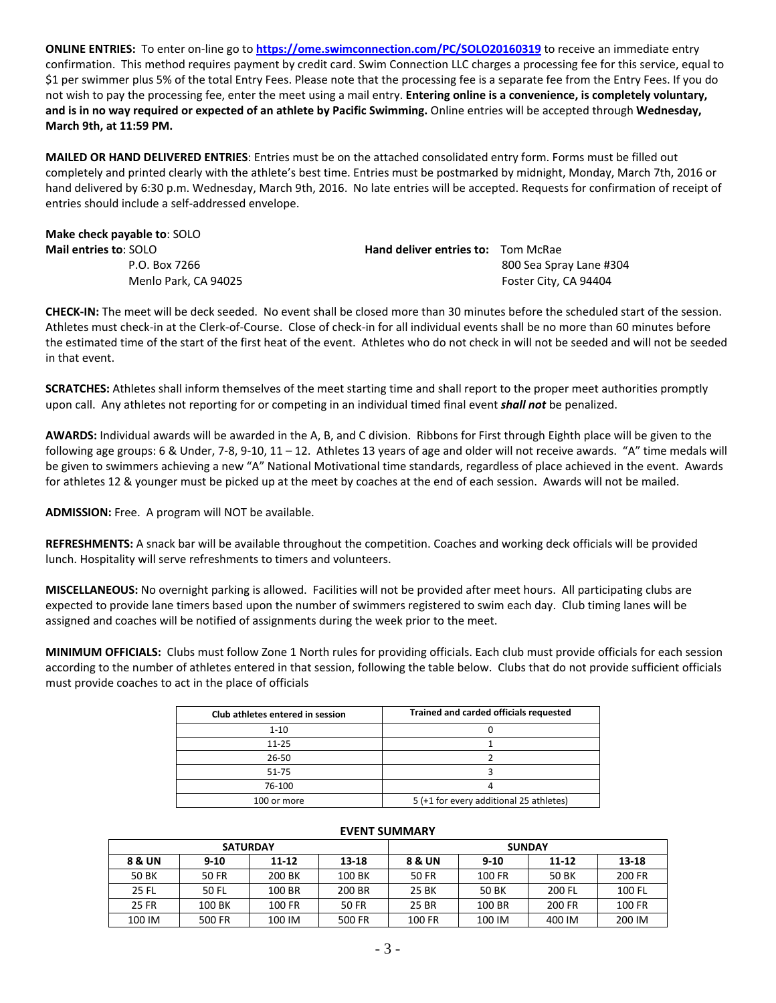**ONLINE ENTRIES:** To enter on-line go to **<https://ome.swimconnection.com/PC/SOLO20160319>** to receive an immediate entry confirmation. This method requires payment by credit card. Swim Connection LLC charges a processing fee for this service, equal to \$1 per swimmer plus 5% of the total Entry Fees. Please note that the processing fee is a separate fee from the Entry Fees. If you do not wish to pay the processing fee, enter the meet using a mail entry. **Entering online is a convenience, is completely voluntary, and is in no way required or expected of an athlete by Pacific Swimming.** Online entries will be accepted through **Wednesday, March 9th, at 11:59 PM.**

**MAILED OR HAND DELIVERED ENTRIES**: Entries must be on the attached consolidated entry form. Forms must be filled out completely and printed clearly with the athlete's best time. Entries must be postmarked by midnight, Monday, March 7th, 2016 or hand delivered by 6:30 p.m. Wednesday, March 9th, 2016. No late entries will be accepted. Requests for confirmation of receipt of entries should include a self-addressed envelope.

| Make check payable to: SOLO |                      |                                           |                         |  |  |  |  |  |  |
|-----------------------------|----------------------|-------------------------------------------|-------------------------|--|--|--|--|--|--|
| Mail entries to: SOLO       |                      | <b>Hand deliver entries to: Fom McRae</b> |                         |  |  |  |  |  |  |
|                             | P.O. Box 7266        |                                           | 800 Sea Spray Lane #304 |  |  |  |  |  |  |
|                             | Menlo Park. CA 94025 |                                           | Foster City, CA 94404   |  |  |  |  |  |  |

**CHECK-IN:** The meet will be deck seeded. No event shall be closed more than 30 minutes before the scheduled start of the session. Athletes must check-in at the Clerk-of-Course. Close of check-in for all individual events shall be no more than 60 minutes before the estimated time of the start of the first heat of the event. Athletes who do not check in will not be seeded and will not be seeded in that event.

**SCRATCHES:** Athletes shall inform themselves of the meet starting time and shall report to the proper meet authorities promptly upon call. Any athletes not reporting for or competing in an individual timed final event *shall not* be penalized.

**AWARDS:** Individual awards will be awarded in the A, B, and C division. Ribbons for First through Eighth place will be given to the following age groups: 6 & Under, 7-8, 9-10, 11 – 12. Athletes 13 years of age and older will not receive awards. "A" time medals will be given to swimmers achieving a new "A" National Motivational time standards, regardless of place achieved in the event. Awards for athletes 12 & younger must be picked up at the meet by coaches at the end of each session. Awards will not be mailed.

**ADMISSION:** Free. A program will NOT be available.

**REFRESHMENTS:** A snack bar will be available throughout the competition. Coaches and working deck officials will be provided lunch. Hospitality will serve refreshments to timers and volunteers.

**MISCELLANEOUS:** No overnight parking is allowed. Facilities will not be provided after meet hours. All participating clubs are expected to provide lane timers based upon the number of swimmers registered to swim each day. Club timing lanes will be assigned and coaches will be notified of assignments during the week prior to the meet.

**MINIMUM OFFICIALS:** Clubs must follow Zone 1 North rules for providing officials. Each club must provide officials for each session according to the number of athletes entered in that session, following the table below. Clubs that do not provide sufficient officials must provide coaches to act in the place of officials

| Club athletes entered in session | <b>Trained and carded officials requested</b> |
|----------------------------------|-----------------------------------------------|
| $1 - 10$                         |                                               |
| $11 - 25$                        |                                               |
| $26 - 50$                        |                                               |
| 51-75                            |                                               |
| 76-100                           |                                               |
| 100 or more                      | 5 (+1 for every additional 25 athletes)       |

#### **EVENT SUMMARY**

|        | <b>SATURDAY</b> |        |        | <b>SUNDAY</b> |          |        |        |  |  |
|--------|-----------------|--------|--------|---------------|----------|--------|--------|--|--|
| 8 & UN | $9 - 10$        | 11-12  | 13-18  | 8 & UN        | $9 - 10$ | 11-12  | 13-18  |  |  |
| 50 BK  | 50 FR           | 200 BK | 100 BK | 50 FR         | 100 FR   | 50 BK  | 200 FR |  |  |
| 25 FL  | 50 FL           | 100 BR | 200 BR | 25 BK         | 50 BK    | 200 FL | 100 FL |  |  |
| 25 FR  | 100 BK          | 100 FR | 50 FR  | 25 BR         | 100 BR   | 200 FR | 100 FR |  |  |
| 100 IM | 500 FR          | 100 IM | 500 FR | 100 FR        | 100 IM   | 400 IM | 200 IM |  |  |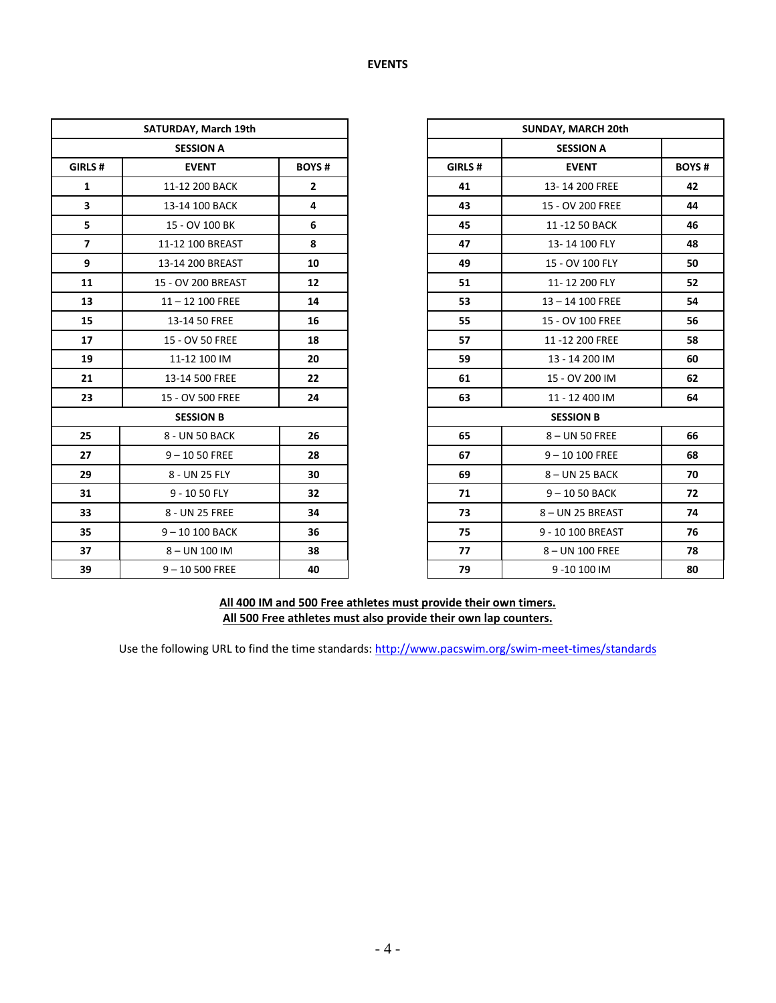### **EVENTS**

| SATURDAY, March 19th |                    |                |  |  |  |  |  |  |
|----------------------|--------------------|----------------|--|--|--|--|--|--|
| <b>SESSION A</b>     |                    |                |  |  |  |  |  |  |
| GIRLS #              | <b>EVENT</b>       |                |  |  |  |  |  |  |
| 1                    | 11-12 200 BACK     | $\overline{2}$ |  |  |  |  |  |  |
| 3                    | 13-14 100 BACK     | 4              |  |  |  |  |  |  |
| 5                    | 15 - OV 100 BK     | 6              |  |  |  |  |  |  |
| 7                    | 11-12 100 BREAST   | 8              |  |  |  |  |  |  |
| 9                    | 13-14 200 BREAST   | 10             |  |  |  |  |  |  |
| 11                   | 15 - OV 200 BREAST | 12             |  |  |  |  |  |  |
| 13                   | $11 - 12$ 100 FREE | 14             |  |  |  |  |  |  |
| 15                   | 13-14 50 FREE      | 16             |  |  |  |  |  |  |
| 17                   | 15 - OV 50 FREE    | 18             |  |  |  |  |  |  |
| 19                   | 11-12 100 IM       | 20             |  |  |  |  |  |  |
| 21                   | 13-14 500 FREE     | 22             |  |  |  |  |  |  |
| 23                   | 15 - OV 500 FREE   | 24             |  |  |  |  |  |  |
|                      | <b>SESSION B</b>   |                |  |  |  |  |  |  |
| 25                   | 8 - UN 50 BACK     | 26             |  |  |  |  |  |  |
| 27                   | $9 - 1050$ FREE    | 28             |  |  |  |  |  |  |
| 29                   | 8 - UN 25 FLY      | 30             |  |  |  |  |  |  |
| 31                   | 9 - 10 50 FLY      | 32             |  |  |  |  |  |  |
| 33                   | 8 - UN 25 FREE     | 34             |  |  |  |  |  |  |
| 35                   | 9-10 100 BACK      | 36             |  |  |  |  |  |  |
| 37                   | 8-UN 100 IM        | 38             |  |  |  |  |  |  |
| 39                   | $9 - 10500$ FREE   | 40             |  |  |  |  |  |  |

|                | SATURDAY, March 19th |                | SUNDAY, MARCH 20th |                    |              |  |  |
|----------------|----------------------|----------------|--------------------|--------------------|--------------|--|--|
|                | <b>SESSION A</b>     |                |                    | <b>SESSION A</b>   |              |  |  |
| GIRLS #        | <b>EVENT</b>         | <b>BOYS#</b>   | GIRLS#             | <b>EVENT</b>       | <b>BOYS#</b> |  |  |
| $\mathbf{1}$   | 11-12 200 BACK       | $\overline{2}$ | 41                 | 13-14 200 FREE     | 42           |  |  |
| 3              | 13-14 100 BACK       | 4              | 43                 | 15 - OV 200 FREE   | 44           |  |  |
| 5              | 15 - OV 100 BK       | 6              | 45                 | 11-12 50 BACK      | 46           |  |  |
| $\overline{7}$ | 11-12 100 BREAST     | 8              | 47                 | 13-14 100 FLY      | 48           |  |  |
| 9              | 13-14 200 BREAST     | 10             | 49                 | 15 - OV 100 FLY    | 50           |  |  |
| 11             | 15 - OV 200 BREAST   | 12             | 51                 | 11-12 200 FLY      | 52           |  |  |
| 13             | $11 - 12$ 100 FREE   | 14             | 53                 | $13 - 14$ 100 FREE | 54           |  |  |
| 15             | 13-14 50 FREE        | 16             | 55                 | 15 - OV 100 FREE   | 56           |  |  |
| 17             | 15 - OV 50 FREE      | 18             | 57                 | 11-12 200 FREE     | 58           |  |  |
| 19             | 11-12 100 IM         | 20             | 59                 | 13 - 14 200 IM     | 60           |  |  |
| 21             | 13-14 500 FREE       | 22             | 61                 | 15 - OV 200 IM     | 62           |  |  |
| 23             | 15 - OV 500 FREE     | 24             | 63                 | 11 - 12 400 IM     | 64           |  |  |
|                | <b>SESSION B</b>     |                |                    | <b>SESSION B</b>   |              |  |  |
| 25             | 8 - UN 50 BACK       | 26             | 65                 | 8-UN 50 FREE       | 66           |  |  |
| 27             | $9 - 1050$ FREE      | 28             | 67                 | $9 - 10100$ FREE   | 68           |  |  |
| 29             | 8 - UN 25 FLY        | 30             | 69                 | 8-UN 25 BACK       | 70           |  |  |
| 31             | 9 - 10 50 FLY        | 32             | 71                 | $9 - 1050$ BACK    | 72           |  |  |
| 33             | 8 - UN 25 FREE       | 34             | 73                 | 8-UN 25 BREAST     | 74           |  |  |
| 35             | 9-10 100 BACK        | 36             | 75                 | 9 - 10 100 BREAST  | 76           |  |  |
| 37             | 8-UN 100 IM          | 38             | 77                 | 8- UN 100 FREE     | 78           |  |  |
| 39             | $9 - 10500$ FREE     | 40             | 79                 | 9-10 100 IM        | 80           |  |  |

# **All 400 IM and 500 Free athletes must provide their own timers. All 500 Free athletes must also provide their own lap counters.**

Use the following URL to find the time standards:<http://www.pacswim.org/swim-meet-times/standards>